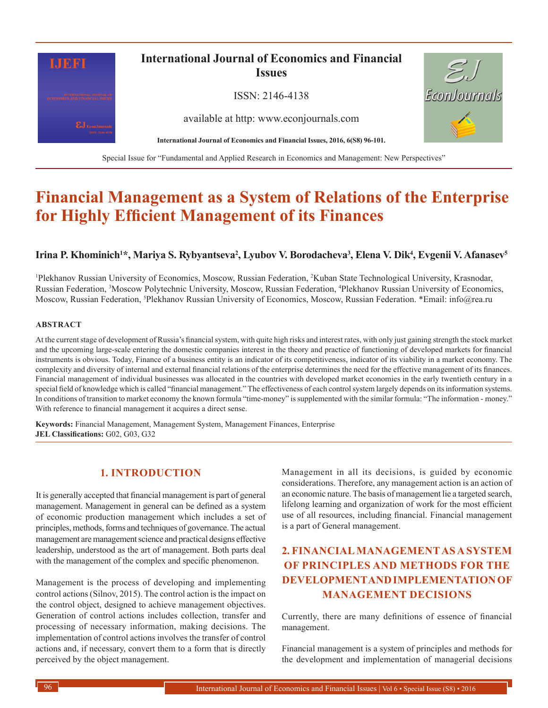

# **Financial Management as a System of Relations of the Enterprise for Highly Efficient Management of its Finances**

#### Irina P. Khominich<sup>1\*</sup>, Mariya S. Rybyantseva<sup>2</sup>, Lyubov V. Borodacheva<sup>3</sup>, Elena V. Dik<sup>4</sup>, Evgenii V. Afanasev<sup>5</sup>

1 Plekhanov Russian University of Economics, Moscow, Russian Federation, 2 Kuban State Technological University, Krasnodar, Russian Federation, 3 Moscow Polytechnic University, Moscow, Russian Federation, 4 Plekhanov Russian University of Economics, Moscow, Russian Federation, <sup>5</sup>Plekhanov Russian University of Economics, Moscow, Russian Federation. \*Email: info@rea.ru

#### **ABSTRACT**

At the current stage of development of Russia's financial system, with quite high risks and interest rates, with only just gaining strength the stock market and the upcoming large-scale entering the domestic companies interest in the theory and practice of functioning of developed markets for financial instruments is obvious. Today, Finance of a business entity is an indicator of its competitiveness, indicator of its viability in a market economy. The complexity and diversity of internal and external financial relations of the enterprise determines the need for the effective management of its finances. Financial management of individual businesses was allocated in the countries with developed market economies in the early twentieth century in a special field of knowledge which is called "financial management." The effectiveness of each control system largely depends on its information systems. In conditions of transition to market economy the known formula "time-money" is supplemented with the similar formula: "The information - money." With reference to financial management it acquires a direct sense.

**Keywords:** Financial Management, Management System, Management Finances, Enterprise **JEL Classifications:** G02, G03, G32

#### **1. INTRODUCTION**

It is generally accepted that financial management is part of general management. Management in general can be defined as a system of economic production management which includes a set of principles, methods, forms and techniques of governance. The actual management are management science and practical designs effective leadership, understood as the art of management. Both parts deal with the management of the complex and specific phenomenon.

Management is the process of developing and implementing control actions (Silnov, 2015). The control action is the impact on the control object, designed to achieve management objectives. Generation of control actions includes collection, transfer and processing of necessary information, making decisions. The implementation of control actions involves the transfer of control actions and, if necessary, convert them to a form that is directly perceived by the object management.

Management in all its decisions, is guided by economic considerations. Therefore, any management action is an action of an economic nature. The basis of management lie a targeted search, lifelong learning and organization of work for the most efficient use of all resources, including financial. Financial management is a part of General management.

### **2. FINANCIAL MANAGEMENT AS A SYSTEM OF PRINCIPLES AND METHODS FOR THE DEVELOPMENT AND IMPLEMENTATION OF MANAGEMENT DECISIONS**

Currently, there are many definitions of essence of financial management.

Financial management is a system of principles and methods for the development and implementation of managerial decisions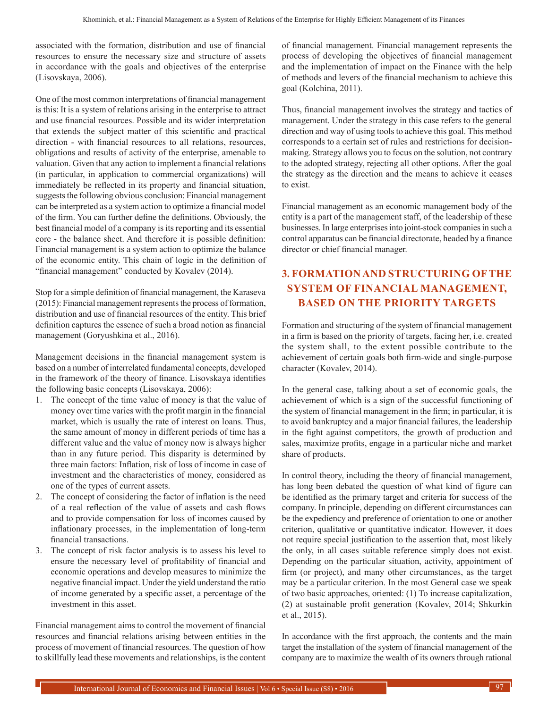associated with the formation, distribution and use of financial resources to ensure the necessary size and structure of assets in accordance with the goals and objectives of the enterprise (Lisovskaya, 2006).

One of the most common interpretations of financial management is this: It is a system of relations arising in the enterprise to attract and use financial resources. Possible and its wider interpretation that extends the subject matter of this scientific and practical direction - with financial resources to all relations, resources, obligations and results of activity of the enterprise, amenable to valuation. Given that any action to implement a financial relations (in particular, in application to commercial organizations) will immediately be reflected in its property and financial situation, suggests the following obvious conclusion: Financial management can be interpreted as a system action to optimize a financial model of the firm. You can further define the definitions. Obviously, the best financial model of a company is its reporting and its essential core - the balance sheet. And therefore it is possible definition: Financial management is a system action to optimize the balance of the economic entity. This chain of logic in the definition of "financial management" conducted by Kovalev (2014).

Stop for a simple definition of financial management, the Karaseva (2015): Financial management represents the process of formation, distribution and use of financial resources of the entity. This brief definition captures the essence of such a broad notion as financial management (Goryushkina et al., 2016).

Management decisions in the financial management system is based on a number of interrelated fundamental concepts, developed in the framework of the theory of finance. Lisovskaya identifies the following basic concepts (Lisovskaya, 2006):

- 1. The concept of the time value of money is that the value of money over time varies with the profit margin in the financial market, which is usually the rate of interest on loans. Thus, the same amount of money in different periods of time has a different value and the value of money now is always higher than in any future period. This disparity is determined by three main factors: Inflation, risk of loss of income in case of investment and the characteristics of money, considered as one of the types of current assets.
- 2. The concept of considering the factor of inflation is the need of a real reflection of the value of assets and cash flows and to provide compensation for loss of incomes caused by inflationary processes, in the implementation of long-term financial transactions.
- 3. The concept of risk factor analysis is to assess his level to ensure the necessary level of profitability of financial and economic operations and develop measures to minimize the negative financial impact. Under the yield understand the ratio of income generated by a specific asset, a percentage of the investment in this asset.

Financial management aims to control the movement of financial resources and financial relations arising between entities in the process of movement of financial resources. The question of how to skillfully lead these movements and relationships, is the content of financial management. Financial management represents the process of developing the objectives of financial management and the implementation of impact on the Finance with the help of methods and levers of the financial mechanism to achieve this goal (Kolchina, 2011).

Thus, financial management involves the strategy and tactics of management. Under the strategy in this case refers to the general direction and way of using tools to achieve this goal. This method corresponds to a certain set of rules and restrictions for decisionmaking. Strategy allows you to focus on the solution, not contrary to the adopted strategy, rejecting all other options. After the goal the strategy as the direction and the means to achieve it ceases to exist.

Financial management as an economic management body of the entity is a part of the management staff, of the leadership of these businesses. In large enterprises into joint-stock companies in such a control apparatus can be financial directorate, headed by a finance director or chief financial manager.

# **3. FORMATION AND STRUCTURING OF THE SYSTEM OF FINANCIAL MANAGEMENT, BASED ON THE PRIORITY TARGETS**

Formation and structuring of the system of financial management in a firm is based on the priority of targets, facing her, i.e. created the system shall, to the extent possible contribute to the achievement of certain goals both firm-wide and single-purpose character (Kovalev, 2014).

In the general case, talking about a set of economic goals, the achievement of which is a sign of the successful functioning of the system of financial management in the firm; in particular, it is to avoid bankruptcy and a major financial failures, the leadership in the fight against competitors, the growth of production and sales, maximize profits, engage in a particular niche and market share of products.

In control theory, including the theory of financial management, has long been debated the question of what kind of figure can be identified as the primary target and criteria for success of the company. In principle, depending on different circumstances can be the expediency and preference of orientation to one or another criterion, qualitative or quantitative indicator. However, it does not require special justification to the assertion that, most likely the only, in all cases suitable reference simply does not exist. Depending on the particular situation, activity, appointment of firm (or project), and many other circumstances, as the target may be a particular criterion. In the most General case we speak of two basic approaches, oriented: (1) To increase capitalization, (2) at sustainable profit generation (Kovalev, 2014; Shkurkin et al., 2015).

In accordance with the first approach, the contents and the main target the installation of the system of financial management of the company are to maximize the wealth of its owners through rational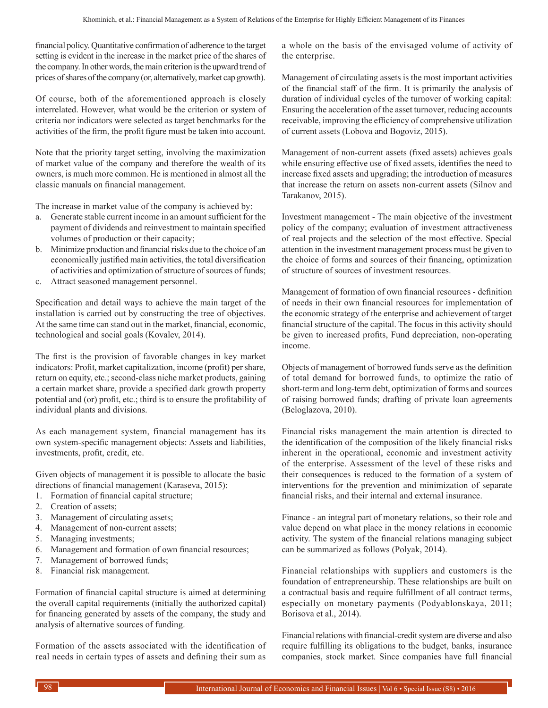financial policy. Quantitative confirmation of adherence to the target setting is evident in the increase in the market price of the shares of the company. In other words, the main criterion is the upward trend of prices of shares of the company (or, alternatively, market cap growth).

Of course, both of the aforementioned approach is closely interrelated. However, what would be the criterion or system of criteria nor indicators were selected as target benchmarks for the activities of the firm, the profit figure must be taken into account.

Note that the priority target setting, involving the maximization of market value of the company and therefore the wealth of its owners, is much more common. He is mentioned in almost all the classic manuals on financial management.

The increase in market value of the company is achieved by:

- a. Generate stable current income in an amount sufficient for the payment of dividends and reinvestment to maintain specified volumes of production or their capacity;
- b. Minimize production and financial risks due to the choice of an economically justified main activities, the total diversification of activities and optimization of structure of sources of funds;
- c. Attract seasoned management personnel.

Specification and detail ways to achieve the main target of the installation is carried out by constructing the tree of objectives. At the same time can stand out in the market, financial, economic, technological and social goals (Kovalev, 2014).

The first is the provision of favorable changes in key market indicators: Profit, market capitalization, income (profit) per share, return on equity, etc.; second-class niche market products, gaining a certain market share, provide a specified dark growth property potential and (or) profit, etc.; third is to ensure the profitability of individual plants and divisions.

As each management system, financial management has its own system-specific management objects: Assets and liabilities, investments, profit, credit, etc.

Given objects of management it is possible to allocate the basic directions of financial management (Karaseva, 2015):

- 1. Formation of financial capital structure;
- 2. Creation of assets;
- 3. Management of circulating assets;
- 4. Management of non-current assets;
- 5. Managing investments;
- 6. Management and formation of own financial resources;
- 7. Management of borrowed funds;
- 8. Financial risk management.

Formation of financial capital structure is aimed at determining the overall capital requirements (initially the authorized capital) for financing generated by assets of the company, the study and analysis of alternative sources of funding.

Formation of the assets associated with the identification of real needs in certain types of assets and defining their sum as

a whole on the basis of the envisaged volume of activity of the enterprise.

Management of circulating assets is the most important activities of the financial staff of the firm. It is primarily the analysis of duration of individual cycles of the turnover of working capital: Ensuring the acceleration of the asset turnover, reducing accounts receivable, improving the efficiency of comprehensive utilization of current assets (Lobova and Bogoviz, 2015).

Management of non-current assets (fixed assets) achieves goals while ensuring effective use of fixed assets, identifies the need to increase fixed assets and upgrading; the introduction of measures that increase the return on assets non-current assets (Silnov and Tarakanov, 2015).

Investment management - The main objective of the investment policy of the company; evaluation of investment attractiveness of real projects and the selection of the most effective. Special attention in the investment management process must be given to the choice of forms and sources of their financing, optimization of structure of sources of investment resources.

Management of formation of own financial resources - definition of needs in their own financial resources for implementation of the economic strategy of the enterprise and achievement of target financial structure of the capital. The focus in this activity should be given to increased profits, Fund depreciation, non-operating income.

Objects of management of borrowed funds serve as the definition of total demand for borrowed funds, to optimize the ratio of short-term and long-term debt, optimization of forms and sources of raising borrowed funds; drafting of private loan agreements (Beloglazova, 2010).

Financial risks management the main attention is directed to the identification of the composition of the likely financial risks inherent in the operational, economic and investment activity of the enterprise. Assessment of the level of these risks and their consequences is reduced to the formation of a system of interventions for the prevention and minimization of separate financial risks, and their internal and external insurance.

Finance - an integral part of monetary relations, so their role and value depend on what place in the money relations in economic activity. The system of the financial relations managing subject can be summarized as follows (Polyak, 2014).

Financial relationships with suppliers and customers is the foundation of entrepreneurship. These relationships are built on a contractual basis and require fulfillment of all contract terms, especially on monetary payments (Podyablonskaya, 2011; Borisova et al., 2014).

Financial relations with financial-credit system are diverse and also require fulfilling its obligations to the budget, banks, insurance companies, stock market. Since companies have full financial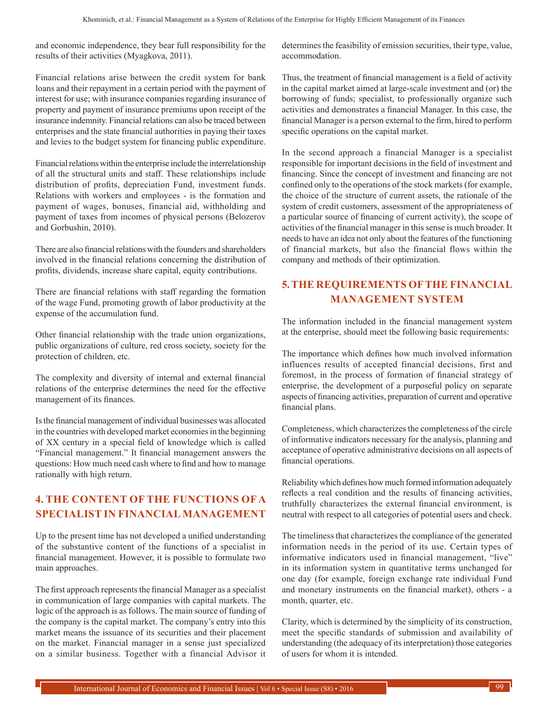and economic independence, they bear full responsibility for the results of their activities (Myagkova, 2011).

Financial relations arise between the credit system for bank loans and their repayment in a certain period with the payment of interest for use; with insurance companies regarding insurance of property and payment of insurance premiums upon receipt of the insurance indemnity. Financial relations can also be traced between enterprises and the state financial authorities in paying their taxes and levies to the budget system for financing public expenditure.

Financial relations within the enterprise include the interrelationship of all the structural units and staff. These relationships include distribution of profits, depreciation Fund, investment funds. Relations with workers and employees - is the formation and payment of wages, bonuses, financial aid, withholding and payment of taxes from incomes of physical persons (Belozerov and Gorbushin, 2010).

There are also financial relations with the founders and shareholders involved in the financial relations concerning the distribution of profits, dividends, increase share capital, equity contributions.

There are financial relations with staff regarding the formation of the wage Fund, promoting growth of labor productivity at the expense of the accumulation fund.

Other financial relationship with the trade union organizations, public organizations of culture, red cross society, society for the protection of children, etc.

The complexity and diversity of internal and external financial relations of the enterprise determines the need for the effective management of its finances.

Is the financial management of individual businesses was allocated in the countries with developed market economies in the beginning of XX century in a special field of knowledge which is called "Financial management." It financial management answers the questions: How much need cash where to find and how to manage rationally with high return.

#### **4. THE CONTENT OF THE FUNCTIONS OF A SPECIALIST IN FINANCIAL MANAGEMENT**

Up to the present time has not developed a unified understanding of the substantive content of the functions of a specialist in financial management. However, it is possible to formulate two main approaches.

The first approach represents the financial Manager as a specialist in communication of large companies with capital markets. The logic of the approach is as follows. The main source of funding of the company is the capital market. The company's entry into this market means the issuance of its securities and their placement on the market. Financial manager in a sense just specialized on a similar business. Together with a financial Advisor it

determines the feasibility of emission securities, their type, value, accommodation.

Thus, the treatment of financial management is a field of activity in the capital market aimed at large-scale investment and (or) the borrowing of funds; specialist, to professionally organize such activities and demonstrates a financial Manager. In this case, the financial Manager is a person external to the firm, hired to perform specific operations on the capital market.

In the second approach a financial Manager is a specialist responsible for important decisions in the field of investment and financing. Since the concept of investment and financing are not confined only to the operations of the stock markets (for example, the choice of the structure of current assets, the rationale of the system of credit customers, assessment of the appropriateness of a particular source of financing of current activity), the scope of activities of the financial manager in this sense is much broader. It needs to have an idea not only about the features of the functioning of financial markets, but also the financial flows within the company and methods of their optimization.

### **5. THE REQUIREMENTS OF THE FINANCIAL MANAGEMENT SYSTEM**

The information included in the financial management system at the enterprise, should meet the following basic requirements:

The importance which defines how much involved information influences results of accepted financial decisions, first and foremost, in the process of formation of financial strategy of enterprise, the development of a purposeful policy on separate aspects of financing activities, preparation of current and operative financial plans.

Completeness, which characterizes the completeness of the circle of informative indicators necessary for the analysis, planning and acceptance of operative administrative decisions on all aspects of financial operations.

Reliability which defines how much formed information adequately reflects a real condition and the results of financing activities, truthfully characterizes the external financial environment, is neutral with respect to all categories of potential users and check.

The timeliness that characterizes the compliance of the generated information needs in the period of its use. Certain types of informative indicators used in financial management, "live" in its information system in quantitative terms unchanged for one day (for example, foreign exchange rate individual Fund and monetary instruments on the financial market), others - a month, quarter, etc.

Clarity, which is determined by the simplicity of its construction, meet the specific standards of submission and availability of understanding (the adequacy of its interpretation) those categories of users for whom it is intended.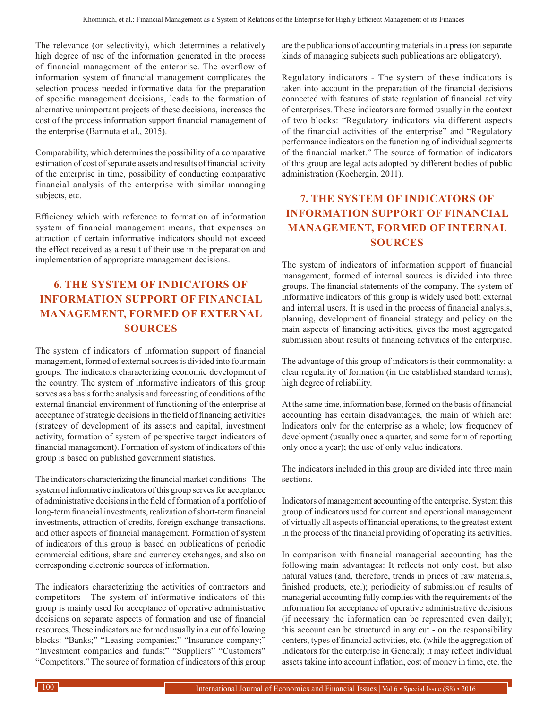The relevance (or selectivity), which determines a relatively high degree of use of the information generated in the process of financial management of the enterprise. The overflow of information system of financial management complicates the selection process needed informative data for the preparation of specific management decisions, leads to the formation of alternative unimportant projects of these decisions, increases the cost of the process information support financial management of the enterprise (Barmuta et al., 2015).

Comparability, which determines the possibility of a comparative estimation of cost of separate assets and results of financial activity of the enterprise in time, possibility of conducting comparative financial analysis of the enterprise with similar managing subjects, etc.

Efficiency which with reference to formation of information system of financial management means, that expenses on attraction of certain informative indicators should not exceed the effect received as a result of their use in the preparation and implementation of appropriate management decisions.

# **6. THE SYSTEM OF INDICATORS OF INFORMATION SUPPORT OF FINANCIAL MANAGEMENT, FORMED OF EXTERNAL SOURCES**

The system of indicators of information support of financial management, formed of external sources is divided into four main groups. The indicators characterizing economic development of the country. The system of informative indicators of this group serves as a basis for the analysis and forecasting of conditions of the external financial environment of functioning of the enterprise at acceptance of strategic decisions in the field of financing activities (strategy of development of its assets and capital, investment activity, formation of system of perspective target indicators of financial management). Formation of system of indicators of this group is based on published government statistics.

The indicators characterizing the financial market conditions- The system of informative indicators of this group serves for acceptance of administrative decisions in the field of formation of a portfolio of long-term financial investments, realization of short-term financial investments, attraction of credits, foreign exchange transactions, and other aspects of financial management. Formation of system of indicators of this group is based on publications of periodic commercial editions, share and currency exchanges, and also on corresponding electronic sources of information.

The indicators characterizing the activities of contractors and competitors - The system of informative indicators of this group is mainly used for acceptance of operative administrative decisions on separate aspects of formation and use of financial resources. These indicators are formed usually in a cut of following blocks: "Banks;" "Leasing companies;" "Insurance company;" "Investment companies and funds;" "Suppliers" "Customers" "Competitors." The source of formation of indicators of this group are the publications of accounting materials in a press (on separate kinds of managing subjects such publications are obligatory).

Regulatory indicators - The system of these indicators is taken into account in the preparation of the financial decisions connected with features of state regulation of financial activity of enterprises. These indicators are formed usually in the context of two blocks: "Regulatory indicators via different aspects of the financial activities of the enterprise" and "Regulatory performance indicators on the functioning of individual segments of the financial market." The source of formation of indicators of this group are legal acts adopted by different bodies of public administration (Kochergin, 2011).

## **7. THE SYSTEM OF INDICATORS OF INFORMATION SUPPORT OF FINANCIAL MANAGEMENT, FORMED OF INTERNAL SOURCES**

The system of indicators of information support of financial management, formed of internal sources is divided into three groups. The financial statements of the company. The system of informative indicators of this group is widely used both external and internal users. It is used in the process of financial analysis, planning, development of financial strategy and policy on the main aspects of financing activities, gives the most aggregated submission about results of financing activities of the enterprise.

The advantage of this group of indicators is their commonality; a clear regularity of formation (in the established standard terms); high degree of reliability.

At the same time, information base, formed on the basis of financial accounting has certain disadvantages, the main of which are: Indicators only for the enterprise as a whole; low frequency of development (usually once a quarter, and some form of reporting only once a year); the use of only value indicators.

The indicators included in this group are divided into three main sections.

Indicators of management accounting of the enterprise. System this group of indicators used for current and operational management of virtually all aspects of financial operations, to the greatest extent in the process of the financial providing of operating its activities.

In comparison with financial managerial accounting has the following main advantages: It reflects not only cost, but also natural values (and, therefore, trends in prices of raw materials, finished products, etc.); periodicity of submission of results of managerial accounting fully complies with the requirements of the information for acceptance of operative administrative decisions (if necessary the information can be represented even daily); this account can be structured in any cut - on the responsibility centers, types of financial activities, etc. (while the aggregation of indicators for the enterprise in General); it may reflect individual assets taking into account inflation, cost of money in time, etc. the